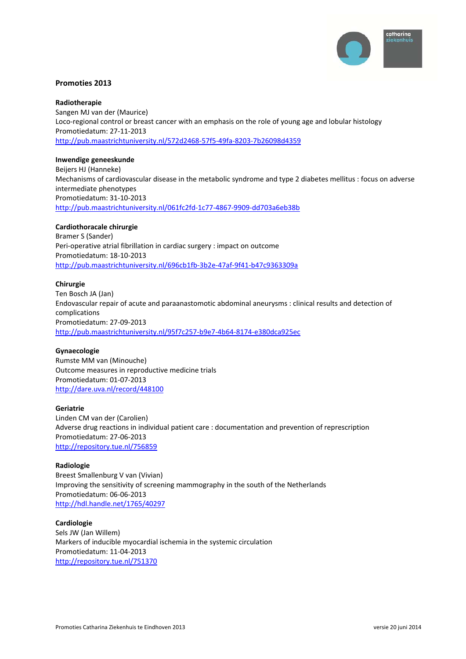

# **Promoties 2013**

#### **Radiotherapie**

Sangen MJ van der (Maurice) Loco-regional control or breast cancer with an emphasis on the role of young age and lobular histology Promotiedatum: 27‐11‐2013 http://pub.maastrichtuniversity.nl/572d2468‐57f5‐49fa‐8203‐7b26098d4359

#### **Inwendige geneeskunde**

Beijers HJ (Hanneke) Mechanisms of cardiovascular disease in the metabolic syndrome and type 2 diabetes mellitus : focus on adverse intermediate phenotypes Promotiedatum: 31‐10‐2013 http://pub.maastrichtuniversity.nl/061fc2fd‐1c77‐4867‐9909‐dd703a6eb38b

## **Cardiothoracale chirurgie**

Bramer S (Sander) Peri‐operative atrial fibrillation in cardiac surgery : impact on outcome Promotiedatum: 18‐10‐2013 http://pub.maastrichtuniversity.nl/696cb1fb‐3b2e‐47af‐9f41‐b47c9363309a

#### **Chirurgie**

Ten Bosch JA (Jan) Endovascular repair of acute and paraanastomotic abdominal aneurysms : clinical results and detection of complications Promotiedatum: 27‐09‐2013 http://pub.maastrichtuniversity.nl/95f7c257‐b9e7‐4b64‐8174‐e380dca925ec

#### **Gynaecologie**

Rumste MM van (Minouche) Outcome measures in reproductive medicine trials Promotiedatum: 01‐07‐2013 http://dare.uva.nl/record/448100

#### **Geriatrie**

Linden CM van der (Carolien) Adverse drug reactions in individual patient care : documentation and prevention of represcription Promotiedatum: 27‐06‐2013 http://repository.tue.nl/756859

### **Radiologie**

Breest Smallenburg V van (Vivian) Improving the sensitivity of screening mammography in the south of the Netherlands Promotiedatum: 06‐06‐2013 http://hdl.handle.net/1765/40297

#### **Cardiologie**

Sels JW (Jan Willem) Markers of inducible myocardial ischemia in the systemic circulation Promotiedatum: 11‐04‐2013 http://repository.tue.nl/751370